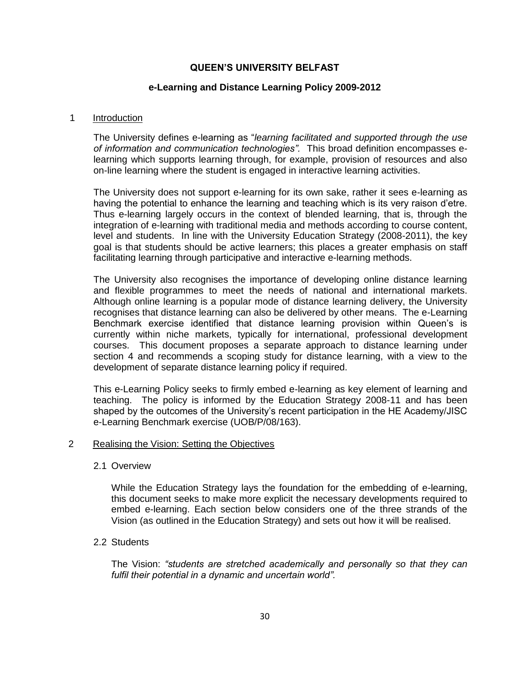## **QUEEN'S UNIVERSITY BELFAST**

## **e-Learning and Distance Learning Policy 2009-2012**

#### 1 Introduction

The University defines e-learning as "*learning facilitated and supported through the use of information and communication technologies".* This broad definition encompasses elearning which supports learning through, for example, provision of resources and also on-line learning where the student is engaged in interactive learning activities.

The University does not support e-learning for its own sake, rather it sees e-learning as having the potential to enhance the learning and teaching which is its very raison d"etre. Thus e-learning largely occurs in the context of blended learning, that is, through the integration of e-learning with traditional media and methods according to course content, level and students. In line with the University Education Strategy (2008-2011), the key goal is that students should be active learners; this places a greater emphasis on staff facilitating learning through participative and interactive e-learning methods.

The University also recognises the importance of developing online distance learning and flexible programmes to meet the needs of national and international markets. Although online learning is a popular mode of distance learning delivery, the University recognises that distance learning can also be delivered by other means. The e-Learning Benchmark exercise identified that distance learning provision within Queen's is currently within niche markets, typically for international, professional development courses. This document proposes a separate approach to distance learning under section 4 and recommends a scoping study for distance learning, with a view to the development of separate distance learning policy if required.

This e-Learning Policy seeks to firmly embed e-learning as key element of learning and teaching. The policy is informed by the Education Strategy 2008-11 and has been shaped by the outcomes of the University's recent participation in the HE Academy/JISC e-Learning Benchmark exercise (UOB/P/08/163).

#### 2 Realising the Vision: Setting the Objectives

#### 2.1 Overview

While the Education Strategy lays the foundation for the embedding of e-learning, this document seeks to make more explicit the necessary developments required to embed e-learning. Each section below considers one of the three strands of the Vision (as outlined in the Education Strategy) and sets out how it will be realised.

## 2.2 Students

The Vision: *"students are stretched academically and personally so that they can fulfil their potential in a dynamic and uncertain world".*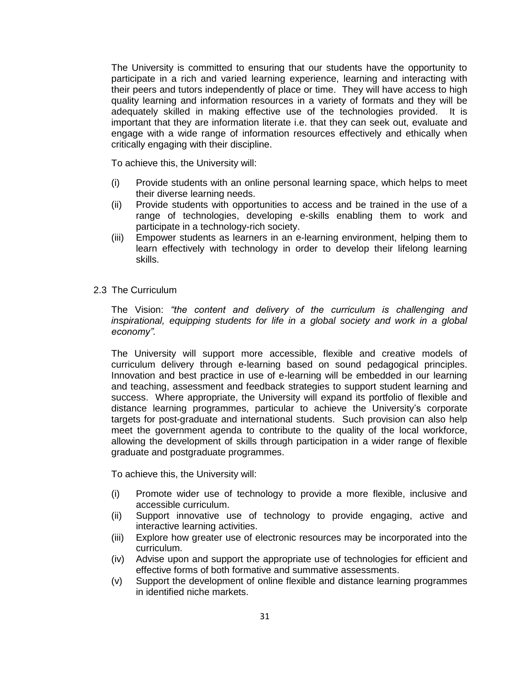The University is committed to ensuring that our students have the opportunity to participate in a rich and varied learning experience, learning and interacting with their peers and tutors independently of place or time. They will have access to high quality learning and information resources in a variety of formats and they will be adequately skilled in making effective use of the technologies provided. It is important that they are information literate i.e. that they can seek out, evaluate and engage with a wide range of information resources effectively and ethically when critically engaging with their discipline.

To achieve this, the University will:

- (i) Provide students with an online personal learning space, which helps to meet their diverse learning needs.
- (ii) Provide students with opportunities to access and be trained in the use of a range of technologies, developing e-skills enabling them to work and participate in a technology-rich society.
- (iii) Empower students as learners in an e-learning environment, helping them to learn effectively with technology in order to develop their lifelong learning skills.
- 2.3 The Curriculum

The Vision: *"the content and delivery of the curriculum is challenging and inspirational, equipping students for life in a global society and work in a global economy".*

The University will support more accessible, flexible and creative models of curriculum delivery through e-learning based on sound pedagogical principles. Innovation and best practice in use of e-learning will be embedded in our learning and teaching, assessment and feedback strategies to support student learning and success. Where appropriate, the University will expand its portfolio of flexible and distance learning programmes, particular to achieve the University"s corporate targets for post-graduate and international students. Such provision can also help meet the government agenda to contribute to the quality of the local workforce, allowing the development of skills through participation in a wider range of flexible graduate and postgraduate programmes.

To achieve this, the University will:

- (i) Promote wider use of technology to provide a more flexible, inclusive and accessible curriculum.
- (ii) Support innovative use of technology to provide engaging, active and interactive learning activities.
- (iii) Explore how greater use of electronic resources may be incorporated into the curriculum.
- (iv) Advise upon and support the appropriate use of technologies for efficient and effective forms of both formative and summative assessments.
- (v) Support the development of online flexible and distance learning programmes in identified niche markets.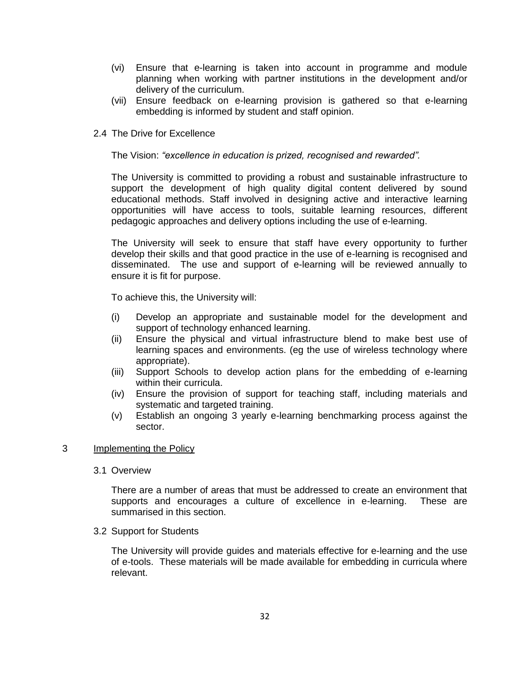- (vi) Ensure that e-learning is taken into account in programme and module planning when working with partner institutions in the development and/or delivery of the curriculum.
- (vii) Ensure feedback on e-learning provision is gathered so that e-learning embedding is informed by student and staff opinion.
- 2.4 The Drive for Excellence

The Vision: *"excellence in education is prized, recognised and rewarded".*

The University is committed to providing a robust and sustainable infrastructure to support the development of high quality digital content delivered by sound educational methods. Staff involved in designing active and interactive learning opportunities will have access to tools, suitable learning resources, different pedagogic approaches and delivery options including the use of e-learning.

The University will seek to ensure that staff have every opportunity to further develop their skills and that good practice in the use of e-learning is recognised and disseminated. The use and support of e-learning will be reviewed annually to ensure it is fit for purpose.

To achieve this, the University will:

- (i) Develop an appropriate and sustainable model for the development and support of technology enhanced learning.
- (ii) Ensure the physical and virtual infrastructure blend to make best use of learning spaces and environments. (eg the use of wireless technology where appropriate).
- (iii) Support Schools to develop action plans for the embedding of e-learning within their curricula.
- (iv) Ensure the provision of support for teaching staff, including materials and systematic and targeted training.
- (v) Establish an ongoing 3 yearly e-learning benchmarking process against the sector.

## 3 Implementing the Policy

## 3.1 Overview

There are a number of areas that must be addressed to create an environment that supports and encourages a culture of excellence in e-learning. These are summarised in this section.

3.2 Support for Students

The University will provide guides and materials effective for e-learning and the use of e-tools. These materials will be made available for embedding in curricula where relevant.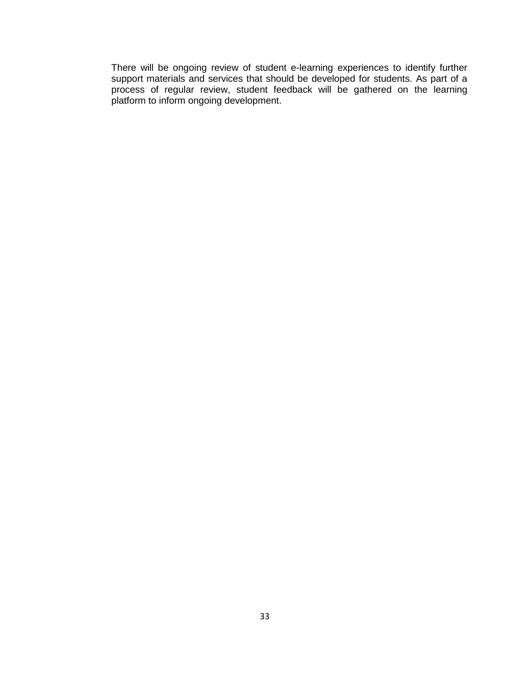There will be ongoing review of student e-learning experiences to identify further support materials and services that should be developed for students. As part of a process of regular review, student feedback will be gathered on the learning platform to inform ongoing development.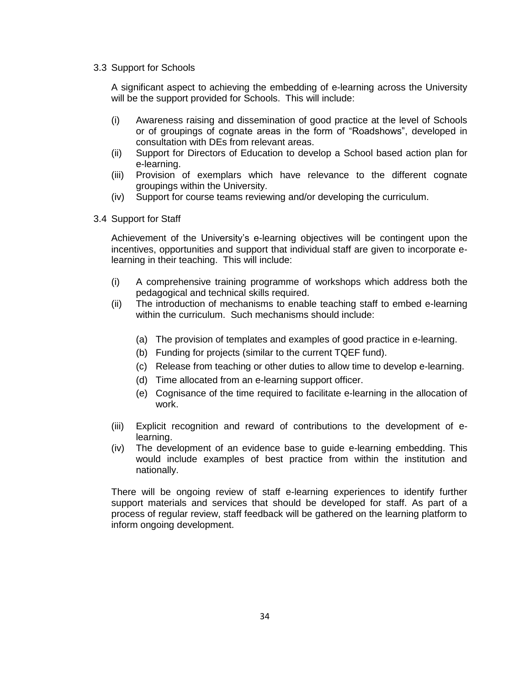#### 3.3 Support for Schools

A significant aspect to achieving the embedding of e-learning across the University will be the support provided for Schools. This will include:

- (i) Awareness raising and dissemination of good practice at the level of Schools or of groupings of cognate areas in the form of "Roadshows", developed in consultation with DEs from relevant areas.
- (ii) Support for Directors of Education to develop a School based action plan for e-learning.
- (iii) Provision of exemplars which have relevance to the different cognate groupings within the University.
- (iv) Support for course teams reviewing and/or developing the curriculum.
- 3.4 Support for Staff

Achievement of the University"s e-learning objectives will be contingent upon the incentives, opportunities and support that individual staff are given to incorporate elearning in their teaching. This will include:

- (i) A comprehensive training programme of workshops which address both the pedagogical and technical skills required.
- (ii) The introduction of mechanisms to enable teaching staff to embed e-learning within the curriculum. Such mechanisms should include:
	- (a) The provision of templates and examples of good practice in e-learning.
	- (b) Funding for projects (similar to the current TQEF fund).
	- (c) Release from teaching or other duties to allow time to develop e-learning.
	- (d) Time allocated from an e-learning support officer.
	- (e) Cognisance of the time required to facilitate e-learning in the allocation of work.
- (iii) Explicit recognition and reward of contributions to the development of elearning.
- (iv) The development of an evidence base to guide e-learning embedding. This would include examples of best practice from within the institution and nationally.

There will be ongoing review of staff e-learning experiences to identify further support materials and services that should be developed for staff. As part of a process of regular review, staff feedback will be gathered on the learning platform to inform ongoing development.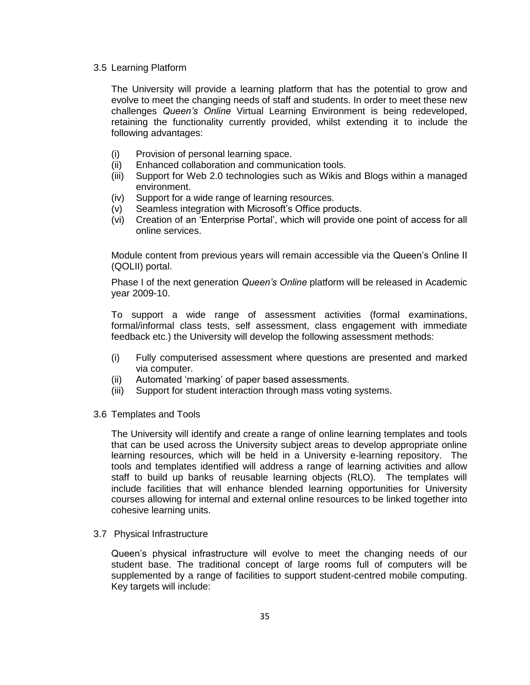#### 3.5 Learning Platform

The University will provide a learning platform that has the potential to grow and evolve to meet the changing needs of staff and students. In order to meet these new challenges *Queen's Online* Virtual Learning Environment is being redeveloped, retaining the functionality currently provided, whilst extending it to include the following advantages:

- (i) Provision of personal learning space.
- (ii) Enhanced collaboration and communication tools.
- (iii) Support for Web 2.0 technologies such as Wikis and Blogs within a managed environment.
- (iv) Support for a wide range of learning resources.
- (v) Seamless integration with Microsoft"s Office products.
- (vi) Creation of an "Enterprise Portal", which will provide one point of access for all online services.

Module content from previous years will remain accessible via the Queen"s Online II (QOLII) portal.

Phase I of the next generation *Queen's Online* platform will be released in Academic year 2009-10.

To support a wide range of assessment activities (formal examinations, formal/informal class tests, self assessment, class engagement with immediate feedback etc.) the University will develop the following assessment methods:

- (i) Fully computerised assessment where questions are presented and marked via computer.
- (ii) Automated "marking" of paper based assessments.
- (iii) Support for student interaction through mass voting systems.
- 3.6 Templates and Tools

The University will identify and create a range of online learning templates and tools that can be used across the University subject areas to develop appropriate online learning resources, which will be held in a University e-learning repository. The tools and templates identified will address a range of learning activities and allow staff to build up banks of reusable learning objects (RLO). The templates will include facilities that will enhance blended learning opportunities for University courses allowing for internal and external online resources to be linked together into cohesive learning units.

## 3.7 Physical Infrastructure

Queen"s physical infrastructure will evolve to meet the changing needs of our student base. The traditional concept of large rooms full of computers will be supplemented by a range of facilities to support student-centred mobile computing. Key targets will include: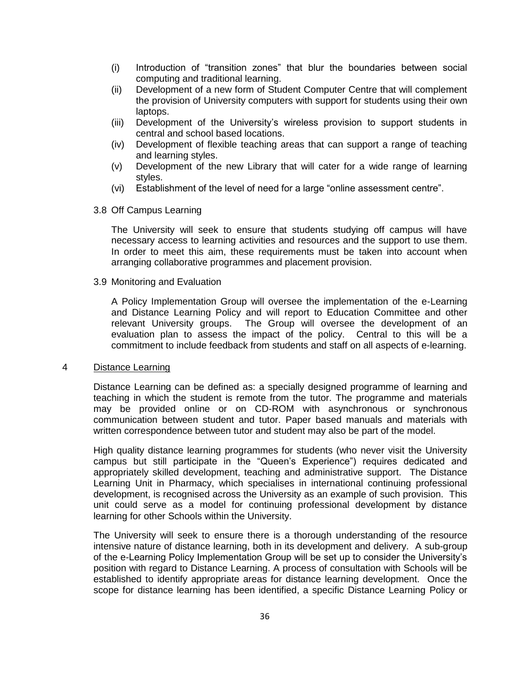- (i) Introduction of "transition zones" that blur the boundaries between social computing and traditional learning.
- (ii) Development of a new form of Student Computer Centre that will complement the provision of University computers with support for students using their own laptops.
- (iii) Development of the University"s wireless provision to support students in central and school based locations.
- (iv) Development of flexible teaching areas that can support a range of teaching and learning styles.
- (v) Development of the new Library that will cater for a wide range of learning styles.
- (vi) Establishment of the level of need for a large "online assessment centre".
- 3.8 Off Campus Learning

The University will seek to ensure that students studying off campus will have necessary access to learning activities and resources and the support to use them. In order to meet this aim, these requirements must be taken into account when arranging collaborative programmes and placement provision.

3.9 Monitoring and Evaluation

A Policy Implementation Group will oversee the implementation of the e-Learning and Distance Learning Policy and will report to Education Committee and other relevant University groups. The Group will oversee the development of an evaluation plan to assess the impact of the policy. Central to this will be a commitment to include feedback from students and staff on all aspects of e-learning.

#### 4 Distance Learning

Distance Learning can be defined as: a specially designed programme of learning and teaching in which the student is remote from the tutor. The programme and materials may be provided online or on CD-ROM with asynchronous or synchronous communication between student and tutor. Paper based manuals and materials with written correspondence between tutor and student may also be part of the model.

High quality distance learning programmes for students (who never visit the University campus but still participate in the "Queen"s Experience") requires dedicated and appropriately skilled development, teaching and administrative support. The Distance Learning Unit in Pharmacy, which specialises in international continuing professional development, is recognised across the University as an example of such provision. This unit could serve as a model for continuing professional development by distance learning for other Schools within the University.

The University will seek to ensure there is a thorough understanding of the resource intensive nature of distance learning, both in its development and delivery. A sub-group of the e-Learning Policy Implementation Group will be set up to consider the University"s position with regard to Distance Learning. A process of consultation with Schools will be established to identify appropriate areas for distance learning development. Once the scope for distance learning has been identified, a specific Distance Learning Policy or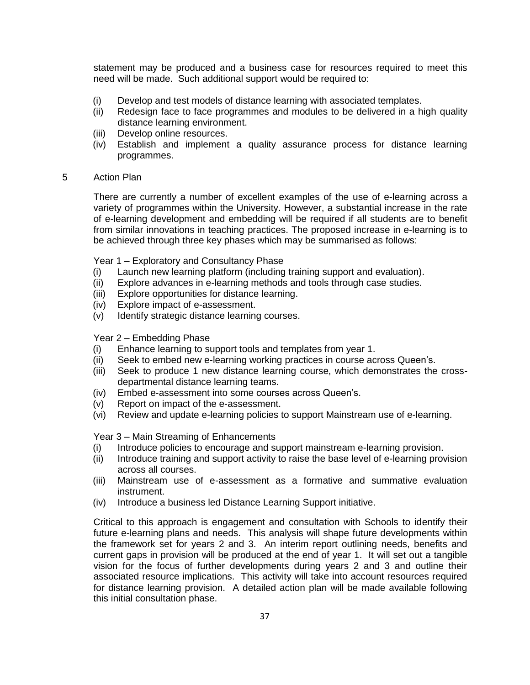statement may be produced and a business case for resources required to meet this need will be made. Such additional support would be required to:

- (i) Develop and test models of distance learning with associated templates.
- (ii) Redesign face to face programmes and modules to be delivered in a high quality distance learning environment.
- (iii) Develop online resources.
- (iv) Establish and implement a quality assurance process for distance learning programmes.

## 5 Action Plan

There are currently a number of excellent examples of the use of e-learning across a variety of programmes within the University. However, a substantial increase in the rate of e-learning development and embedding will be required if all students are to benefit from similar innovations in teaching practices. The proposed increase in e-learning is to be achieved through three key phases which may be summarised as follows:

Year 1 – Exploratory and Consultancy Phase

- (i) Launch new learning platform (including training support and evaluation).
- (ii) Explore advances in e-learning methods and tools through case studies.
- (iii) Explore opportunities for distance learning.
- (iv) Explore impact of e-assessment.
- (v) Identify strategic distance learning courses.

## Year 2 – Embedding Phase

- (i) Enhance learning to support tools and templates from year 1.
- (ii) Seek to embed new e-learning working practices in course across Queen"s.
- (iii) Seek to produce 1 new distance learning course, which demonstrates the crossdepartmental distance learning teams.
- (iv) Embed e-assessment into some courses across Queen"s.
- (v) Report on impact of the e-assessment.
- (vi) Review and update e-learning policies to support Mainstream use of e-learning.

Year 3 – Main Streaming of Enhancements

- (i) Introduce policies to encourage and support mainstream e-learning provision.
- (ii) Introduce training and support activity to raise the base level of e-learning provision across all courses.
- (iii) Mainstream use of e-assessment as a formative and summative evaluation instrument.
- (iv) Introduce a business led Distance Learning Support initiative.

Critical to this approach is engagement and consultation with Schools to identify their future e-learning plans and needs. This analysis will shape future developments within the framework set for years 2 and 3. An interim report outlining needs, benefits and current gaps in provision will be produced at the end of year 1. It will set out a tangible vision for the focus of further developments during years 2 and 3 and outline their associated resource implications. This activity will take into account resources required for distance learning provision. A detailed action plan will be made available following this initial consultation phase.